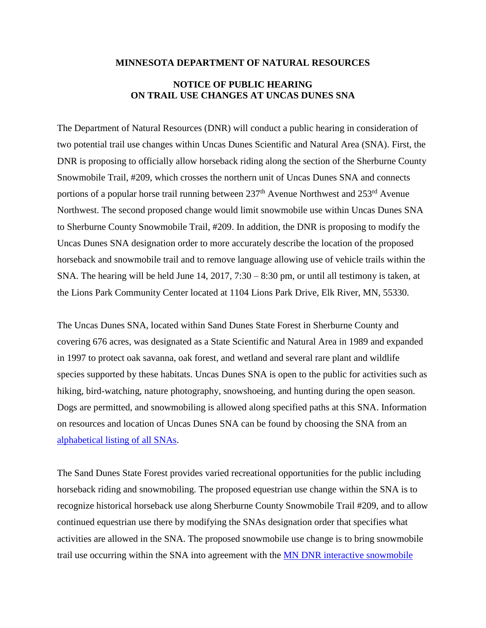## **MINNESOTA DEPARTMENT OF NATURAL RESOURCES**

## **NOTICE OF PUBLIC HEARING ON TRAIL USE CHANGES AT UNCAS DUNES SNA**

The Department of Natural Resources (DNR) will conduct a public hearing in consideration of two potential trail use changes within Uncas Dunes Scientific and Natural Area (SNA). First, the DNR is proposing to officially allow horseback riding along the section of the Sherburne County Snowmobile Trail, #209, which crosses the northern unit of Uncas Dunes SNA and connects portions of a popular horse trail running between  $237<sup>th</sup>$  Avenue Northwest and  $253<sup>rd</sup>$  Avenue Northwest. The second proposed change would limit snowmobile use within Uncas Dunes SNA to Sherburne County Snowmobile Trail, #209. In addition, the DNR is proposing to modify the Uncas Dunes SNA designation order to more accurately describe the location of the proposed horseback and snowmobile trail and to remove language allowing use of vehicle trails within the SNA. The hearing will be held June 14, 2017, 7:30 – 8:30 pm, or until all testimony is taken, at the Lions Park Community Center located at 1104 Lions Park Drive, Elk River, MN, 55330.

The Uncas Dunes SNA, located within Sand Dunes State Forest in Sherburne County and covering 676 acres, was designated as a State Scientific and Natural Area in 1989 and expanded in 1997 to protect oak savanna, oak forest, and wetland and several rare plant and wildlife species supported by these habitats. Uncas Dunes SNA is open to the public for activities such as hiking, bird-watching, nature photography, snowshoeing, and hunting during the open season. Dogs are permitted, and snowmobiling is allowed along specified paths at this SNA. Information on resources and location of Uncas Dunes SNA can be found by choosing the SNA from an [alphabetical listing of all SNAs.](http://www.dnr.state.mn.us/snas/list.html)

The Sand Dunes State Forest provides varied recreational opportunities for the public including horseback riding and snowmobiling. The proposed equestrian use change within the SNA is to recognize historical horseback use along Sherburne County Snowmobile Trail #209, and to allow continued equestrian use there by modifying the SNAs designation order that specifies what activities are allowed in the SNA. The proposed snowmobile use change is to bring snowmobile trail use occurring within the SNA into agreement with the [MN DNR interactive snowmobile](http://www.dnr.state.mn.us/snowmobiling/interactive_map/index.html)